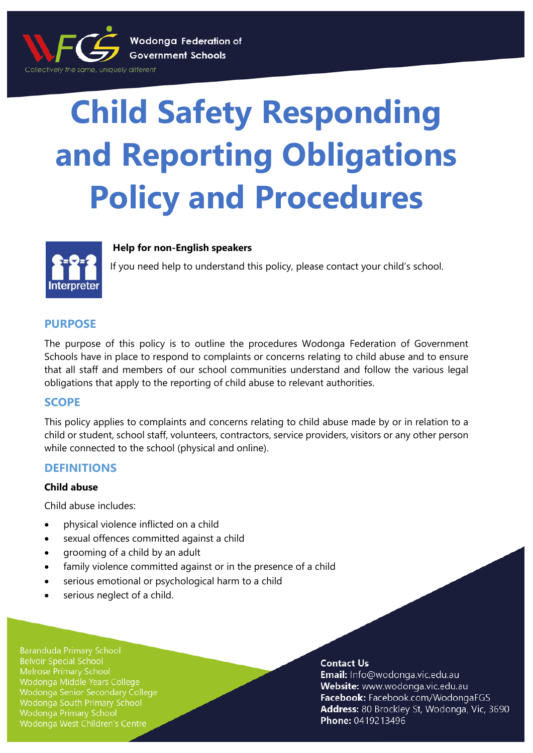

# **Child Safety Responding and Reporting Obligations Policy and Procedures**



## **Help for non-English speakers**

If you need help to understand this policy, please contact your child's school.

# **PURPOSE**

The purpose of this policy is to outline the procedures Wodonga Federation of Government Schools have in place to respond to complaints or concerns relating to child abuse and to ensure that all staff and members of our school communities understand and follow the various legal obligations that apply to the reporting of child abuse to relevant authorities.

# **SCOPE**

This policy applies to complaints and concerns relating to child abuse made by or in relation to a child or student, school staff, volunteers, contractors, service providers, visitors or any other person while connected to the school (physical and online).

# **DEFINITIONS**

## **Child abuse**

Child abuse includes:

- physical violence inflicted on a child
- sexual offences committed against a child
- grooming of a child by an adult
- family violence committed against or in the presence of a child
- serious emotional or psychological harm to a child
- serious neglect of a child.

**Baranduda Primary School Belvoir Special School Melrose Primary School** Wodonga Middle Years College Wodonga Senior Secondary College Wodonga South Primary School **Wodonga Primary School** Wodonga West Children's Centre

#### **Contact Us**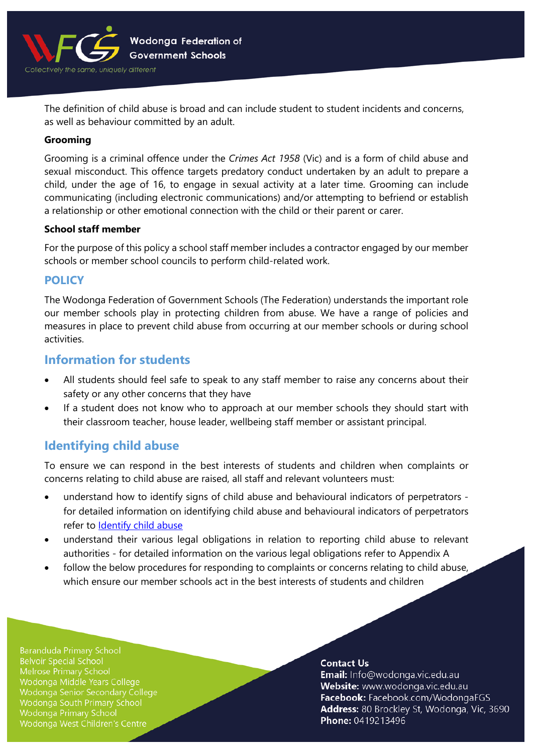

The definition of child abuse is broad and can include student to student incidents and concerns, as well as behaviour committed by an adult.

#### **Grooming**

Grooming is a criminal offence under the *Crimes Act 1958* (Vic) and is a form of child abuse and sexual misconduct. This offence targets predatory conduct undertaken by an adult to prepare a child, under the age of 16, to engage in sexual activity at a later time. Grooming can include communicating (including electronic communications) and/or attempting to befriend or establish a relationship or other emotional connection with the child or their parent or carer.

#### **School staff member**

For the purpose of this policy a school staff member includes a contractor engaged by our member schools or member school councils to perform child-related work.

# **POLICY**

The Wodonga Federation of Government Schools (The Federation) understands the important role our member schools play in protecting children from abuse. We have a range of policies and measures in place to prevent child abuse from occurring at our member schools or during school activities.

# **Information for students**

- All students should feel safe to speak to any staff member to raise any concerns about their safety or any other concerns that they have
- If a student does not know who to approach at our member schools they should start with their classroom teacher, house leader, wellbeing staff member or assistant principal.

# **Identifying child abuse**

To ensure we can respond in the best interests of students and children when complaints or concerns relating to child abuse are raised, all staff and relevant volunteers must:

- understand how to identify signs of child abuse and behavioural indicators of perpetrators for detailed information on identifying child abuse and behavioural indicators of perpetrators refer to [Identify child abuse](https://www.education.vic.gov.au/school/teachers/health/childprotection/Pages/identify.aspx)
- understand their various legal obligations in relation to reporting child abuse to relevant authorities - for detailed information on the various legal obligations refer to Appendix A
- follow the below procedures for responding to complaints or concerns relating to child abuse, which ensure our member schools act in the best interests of students and children

**Baranduda Primary School Belvoir Special School** Melrose Primary School Wodonga Middle Years College Wodonga Senior Secondary College Wodonga South Primary School **Wodonga Primary School** Wodonga West Children's Centre

#### **Contact Us**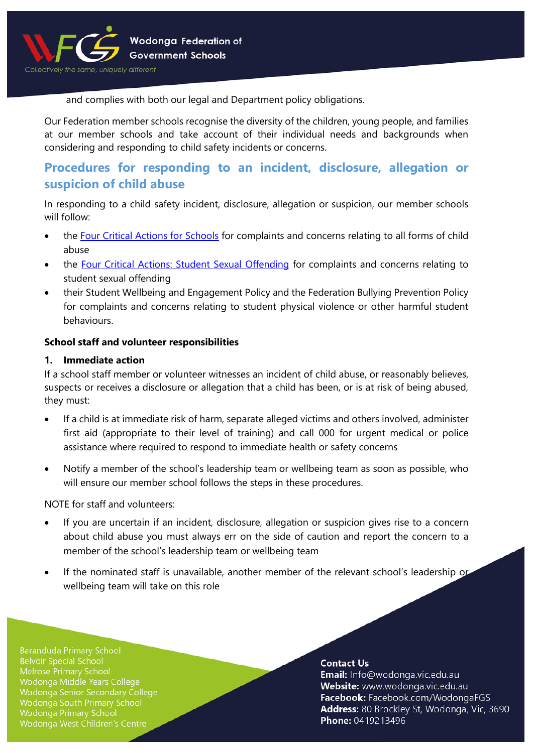

and complies with both our legal and Department policy obligations.

Our Federation member schools recognise the diversity of the children, young people, and families at our member schools and take account of their individual needs and backgrounds when considering and responding to child safety incidents or concerns.

# **Procedures for responding to an incident, disclosure, allegation or suspicion of child abuse**

In responding to a child safety incident, disclosure, allegation or suspicion, our member schools will follow:

- the [Four Critical Actions for Schools](https://www.education.vic.gov.au/Documents/about/programs/health/protect/FourCriticalActions_ChildAbuse.pdf) for complaints and concerns relating to all forms of child abuse
- the [Four Critical Actions: Student Sexual Offending](https://www.education.vic.gov.au/school/teachers/health/childprotection/Pages/stusexual.aspx) for complaints and concerns relating to student sexual offending
- their Student Wellbeing and Engagement Policy and the Federation Bullying Prevention Policy for complaints and concerns relating to student physical violence or other harmful student behaviours.

## **School staff and volunteer responsibilities**

## **1. Immediate action**

If a school staff member or volunteer witnesses an incident of child abuse, or reasonably believes, suspects or receives a disclosure or allegation that a child has been, or is at risk of being abused, they must:

- If a child is at immediate risk of harm, separate alleged victims and others involved, administer first aid (appropriate to their level of training) and call 000 for urgent medical or police assistance where required to respond to immediate health or safety concerns
- Notify a member of the school's leadership team or wellbeing team as soon as possible, who will ensure our member school follows the steps in these procedures.

NOTE for staff and volunteers:

- If you are uncertain if an incident, disclosure, allegation or suspicion gives rise to a concern about child abuse you must always err on the side of caution and report the concern to a member of the school's leadership team or wellbeing team
- If the nominated staff is unavailable, another member of the relevant school's leadership or wellbeing team will take on this role

**Baranduda Primary School Belvoir Special School** Melrose Primary School Wodonga Middle Years College Wodonga Senior Secondary College Wodonga South Primary School **Wodonga Primary School** Wodonga West Children's Centre

#### **Contact Us**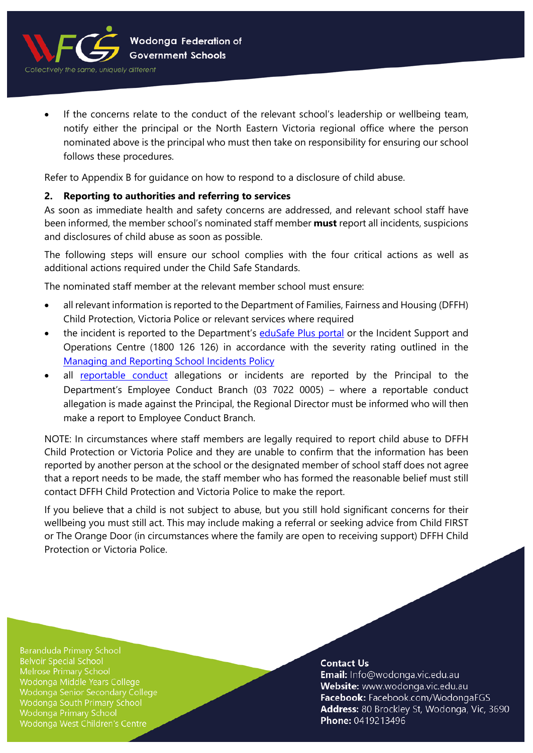

- Wodonga Federation of **Government Schools**
- If the concerns relate to the conduct of the relevant school's leadership or wellbeing team, notify either the principal or the North Eastern Victoria regional office where the person nominated above is the principal who must then take on responsibility for ensuring our school follows these procedures.

Refer to Appendix B for guidance on how to respond to a disclosure of child abuse.

# **2. Reporting to authorities and referring to services**

As soon as immediate health and safety concerns are addressed, and relevant school staff have been informed, the member school's nominated staff member **must** report all incidents, suspicions and disclosures of child abuse as soon as possible.

The following steps will ensure our school complies with the four critical actions as well as additional actions required under the Child Safe Standards.

The nominated staff member at the relevant member school must ensure:

- all relevant information is reported to the Department of Families, Fairness and Housing (DFFH) Child Protection, Victoria Police or relevant services where required
- the incident is reported to the Department's [eduSafe Plus portal](https://services.educationapps.vic.gov.au/edusafeplus) or the Incident Support and Operations Centre (1800 126 126) in accordance with the severity rating outlined in the [Managing and Reporting School Incidents Policy](https://www2.education.vic.gov.au/pal/reporting-and-managing-school-incidents-including-emergencies/policy)
- all [reportable conduct](https://www2.education.vic.gov.au/pal/reportable-conduct-scheme/policy) allegations or incidents are reported by the Principal to the Department's Employee Conduct Branch (03 7022 0005) – where a reportable conduct allegation is made against the Principal, the Regional Director must be informed who will then make a report to Employee Conduct Branch.

NOTE: In circumstances where staff members are legally required to report child abuse to DFFH Child Protection or Victoria Police and they are unable to confirm that the information has been reported by another person at the school or the designated member of school staff does not agree that a report needs to be made, the staff member who has formed the reasonable belief must still contact DFFH Child Protection and Victoria Police to make the report.

If you believe that a child is not subject to abuse, but you still hold significant concerns for their wellbeing you must still act. This may include making a referral or seeking advice from Child FIRST or The Orange Door (in circumstances where the family are open to receiving support) DFFH Child Protection or Victoria Police.

**Baranduda Primary School Belvoir Special School** Melrose Primary School Wodonga Middle Years College Wodonga Senior Secondary College Wodonga South Primary School Wodonga Primary School Wodonga West Children's Centre

#### **Contact Us**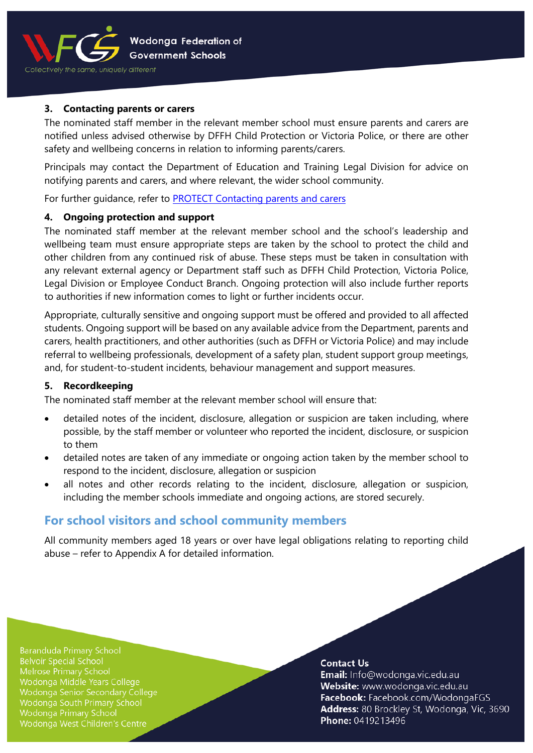

## **3. Contacting parents or carers**

The nominated staff member in the relevant member school must ensure parents and carers are notified unless advised otherwise by DFFH Child Protection or Victoria Police, or there are other safety and wellbeing concerns in relation to informing parents/carers.

Principals may contact the Department of Education and Training Legal Division for advice on notifying parents and carers, and where relevant, the wider school community.

For further quidance, refer to **PROTECT Contacting parents and carers** 

## **4. Ongoing protection and support**

The nominated staff member at the relevant member school and the school's leadership and wellbeing team must ensure appropriate steps are taken by the school to protect the child and other children from any continued risk of abuse. These steps must be taken in consultation with any relevant external agency or Department staff such as DFFH Child Protection, Victoria Police, Legal Division or Employee Conduct Branch. Ongoing protection will also include further reports to authorities if new information comes to light or further incidents occur.

Appropriate, culturally sensitive and ongoing support must be offered and provided to all affected students. Ongoing support will be based on any available advice from the Department, parents and carers, health practitioners, and other authorities (such as DFFH or Victoria Police) and may include referral to wellbeing professionals, development of a safety plan, student support group meetings, and, for student-to-student incidents, behaviour management and support measures.

## **5. Recordkeeping**

The nominated staff member at the relevant member school will ensure that:

- detailed notes of the incident, disclosure, allegation or suspicion are taken including, where possible, by the staff member or volunteer who reported the incident, disclosure, or suspicion to them
- detailed notes are taken of any immediate or ongoing action taken by the member school to respond to the incident, disclosure, allegation or suspicion
- all notes and other records relating to the incident, disclosure, allegation or suspicion, including the member schools immediate and ongoing actions, are stored securely.

# **For school visitors and school community members**

All community members aged 18 years or over have legal obligations relating to reporting child abuse – refer to Appendix A for detailed information.

**Baranduda Primary School Belvoir Special School** Melrose Primary School Wodonga Middle Years College Wodonga Senior Secondary College Wodonga South Primary School **Wodonga Primary School** Wodonga West Children's Centre

#### **Contact Us**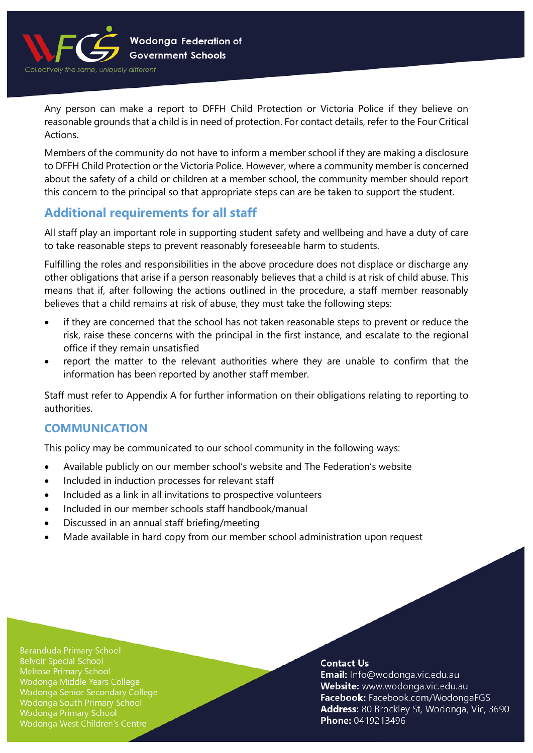

Any person can make a report to DFFH Child Protection or Victoria Police if they believe on reasonable grounds that a child is in need of protection. For contact details, refer to the [Four Critical](https://www.education.vic.gov.au/Documents/about/programs/health/protect/FourCriticalActions_ChildAbuse.pdf)  [Actions.](https://www.education.vic.gov.au/Documents/about/programs/health/protect/FourCriticalActions_ChildAbuse.pdf) 

Members of the community do not have to inform a member school if they are making a disclosure to DFFH Child Protection or the Victoria Police. However, where a community member is concerned about the safety of a child or children at a member school, the community member should report this concern to the principal so that appropriate steps can are be taken to support the student.

# **Additional requirements for all staff**

All staff play an important role in supporting student safety and wellbeing and have a duty of care to take reasonable steps to prevent reasonably foreseeable harm to students.

Fulfilling the roles and responsibilities in the above procedure does not displace or discharge any other obligations that arise if a person reasonably believes that a child is at risk of child abuse. This means that if, after following the actions outlined in the procedure, a staff member reasonably believes that a child remains at risk of abuse, they must take the following steps:

- if they are concerned that the school has not taken reasonable steps to prevent or reduce the risk, raise these concerns with the principal in the first instance, and escalate to the regional office if they remain unsatisfied
- report the matter to the relevant authorities where they are unable to confirm that the information has been reported by another staff member.

Staff must refer to Appendix A for further information on their obligations relating to reporting to authorities.

# **COMMUNICATION**

This policy may be communicated to our school community in the following ways:

- Available publicly on our member school's website and The Federation's website
- Included in induction processes for relevant staff
- Included as a link in all invitations to prospective volunteers
- Included in our member schools staff handbook/manual
- Discussed in an annual staff briefing/meeting
- Made available in hard copy from our member school administration upon request

**Baranduda Primary School Belvoir Special School** Melrose Primary School Wodonga Middle Years College Wodonga Senior Secondary College Wodonga South Primary School **Wodonga Primary School** Wodonga West Children's Centre

#### **Contact Us**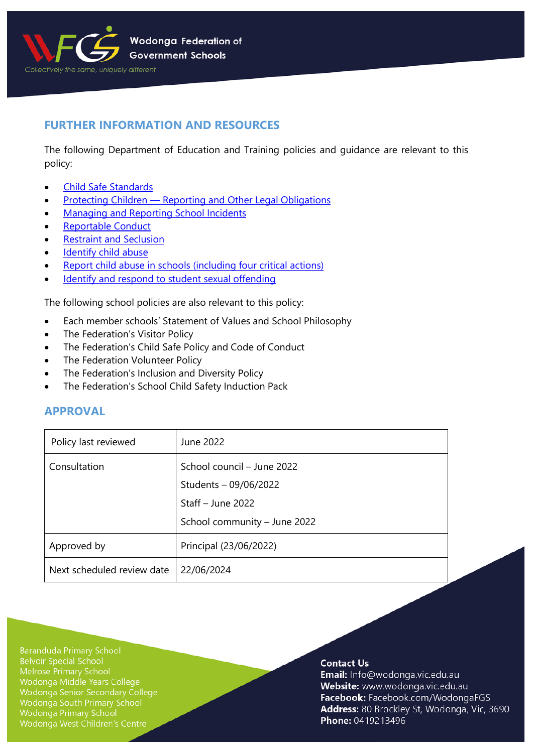

# **FURTHER INFORMATION AND RESOURCES**

The following Department of Education and Training policies and guidance are relevant to this policy:

- [Child Safe Standards](https://www2.education.vic.gov.au/pal/child-safe-standards/policy)
- Protecting Children [Reporting and Other Legal Obligations](https://www2.education.vic.gov.au/pal/protecting-children/policy)
- [Managing and Reporting School Incidents](https://www2.education.vic.gov.au/pal/reporting-and-managing-school-incidents-including-emergencies/policy)
- [Reportable Conduct](https://www2.education.vic.gov.au/pal/reportable-conduct-scheme/policy)
- [Restraint and Seclusion](https://www2.education.vic.gov.au/pal/restraint-seclusion/policy)
- [Identify child abuse](https://www.education.vic.gov.au/school/teachers/health/childprotection/Pages/identify.aspx)
- [Report child abuse in schools \(including four critical actions\)](https://www.education.vic.gov.au/school/teachers/health/childprotection/Pages/report.aspx)
- [Identify and respond to student sexual offending](https://www.education.vic.gov.au/school/teachers/health/childprotection/Pages/stusexual.aspx)

The following school policies are also relevant to this policy:

- Each member schools' Statement of Values and School Philosophy
- The Federation's Visitor Policy
- The Federation's Child Safe Policy and Code of Conduct
- The Federation Volunteer Policy
- The Federation's Inclusion and Diversity Policy
- The Federation's School Child Safety Induction Pack

# **APPROVAL**

| Policy last reviewed       | June 2022                    |
|----------------------------|------------------------------|
| Consultation               | School council – June 2022   |
|                            | Students - 09/06/2022        |
|                            | Staff $-$ June 2022          |
|                            | School community - June 2022 |
| Approved by                | Principal (23/06/2022)       |
| Next scheduled review date | 22/06/2024                   |

**Baranduda Primary School Belvoir Special School** Melrose Primary School Wodonga Middle Years College Wodonga Senior Secondary College Wodonga South Primary School Wodonga Primary School Wodonga West Children's Centre

#### **Contact Us**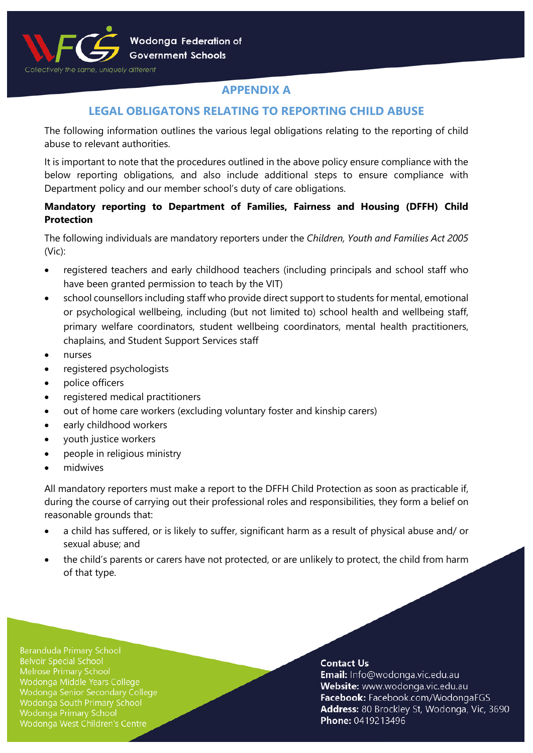

# **APPENDIX A**

# **LEGAL OBLIGATONS RELATING TO REPORTING CHILD ABUSE**

The following information outlines the various legal obligations relating to the reporting of child abuse to relevant authorities.

It is important to note that the procedures outlined in the above policy ensure compliance with the below reporting obligations, and also include additional steps to ensure compliance with Department policy and our member school's duty of care obligations.

# **Mandatory reporting to Department of Families, Fairness and Housing (DFFH) Child Protection**

The following individuals are mandatory reporters under the *Children, Youth and Families Act 2005* (Vic):

- registered teachers and early childhood teachers (including principals and school staff who have been granted permission to teach by the VIT)
- school counsellors including staff who provide direct support to students for mental, emotional or psychological wellbeing, including (but not limited to) school health and wellbeing staff, primary welfare coordinators, student wellbeing coordinators, mental health practitioners, chaplains, and Student Support Services staff
- nurses
- registered psychologists
- police officers
- registered medical practitioners
- out of home care workers (excluding voluntary foster and kinship carers)
- early childhood workers
- youth justice workers
- people in religious ministry
- midwives

All mandatory reporters must make a report to the DFFH Child Protection as soon as practicable if, during the course of carrying out their professional roles and responsibilities, they form a belief on reasonable grounds that:

- a child has suffered, or is likely to suffer, significant harm as a result of physical abuse and/ or sexual abuse; and
- the child's parents or carers have not protected, or are unlikely to protect, the child from harm of that type.

**Baranduda Primary School Belvoir Special School** Melrose Primary School Wodonga Middle Years College Wodonga Senior Secondary College Wodonga South Primary School Wodonga Primary School Wodonga West Children's Centre

#### **Contact Us**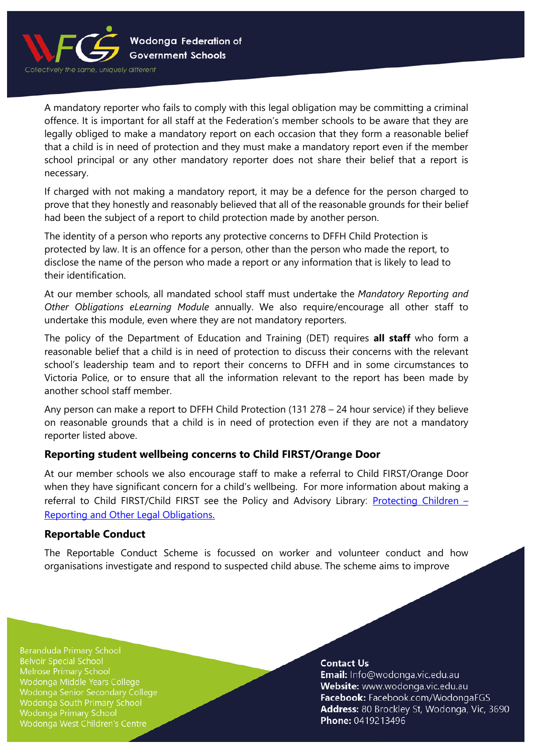

A mandatory reporter who fails to comply with this legal obligation may be committing a criminal offence. It is important for all staff at the Federation's member schools to be aware that they are legally obliged to make a mandatory report on each occasion that they form a reasonable belief that a child is in need of protection and they must make a mandatory report even if the member school principal or any other mandatory reporter does not share their belief that a report is necessary.

If charged with not making a mandatory report, it may be a defence for the person charged to prove that they honestly and reasonably believed that all of the reasonable grounds for their belief had been the subject of a report to child protection made by another person.

The identity of a person who reports any protective concerns to DFFH Child Protection is protected by law. It is an offence for a person, other than the person who made the report, to disclose the name of the person who made a report or any information that is likely to lead to their identification.

At our member schools, all mandated school staff must undertake the *Mandatory Reporting and Other Obligations eLearning Module* annually. We also require/encourage all other staff to undertake this module, even where they are not mandatory reporters.

The policy of the Department of Education and Training (DET) requires **all staff** who form a reasonable belief that a child is in need of protection to discuss their concerns with the relevant school's leadership team and to report their concerns to DFFH and in some circumstances to Victoria Police, or to ensure that all the information relevant to the report has been made by another school staff member.

Any person can make a report to DFFH Child Protection (131 278 – 24 hour service) if they believe on reasonable grounds that a child is in need of protection even if they are not a mandatory reporter listed above.

# **Reporting student wellbeing concerns to Child FIRST/Orange Door**

At our member schools we also encourage staff to make a referral to Child FIRST/Orange Door when they have significant concern for a child's wellbeing. For more information about making a referral to Child FIRST/Child FIRST see the Policy and Advisory Library: Protecting Children  $-$ [Reporting and Other Legal Obligations.](https://www2.education.vic.gov.au/pal/protecting-children/policy)

## **Reportable Conduct**

The Reportable Conduct Scheme is focussed on worker and volunteer conduct and how organisations investigate and respond to suspected child abuse. The scheme aims to improve

**Baranduda Primary School Belvoir Special School** Melrose Primary School Wodonga Middle Years College Wodonga Senior Secondary College Wodonga South Primary School **Wodonga Primary School** Wodonga West Children's Centre

#### **Contact Us**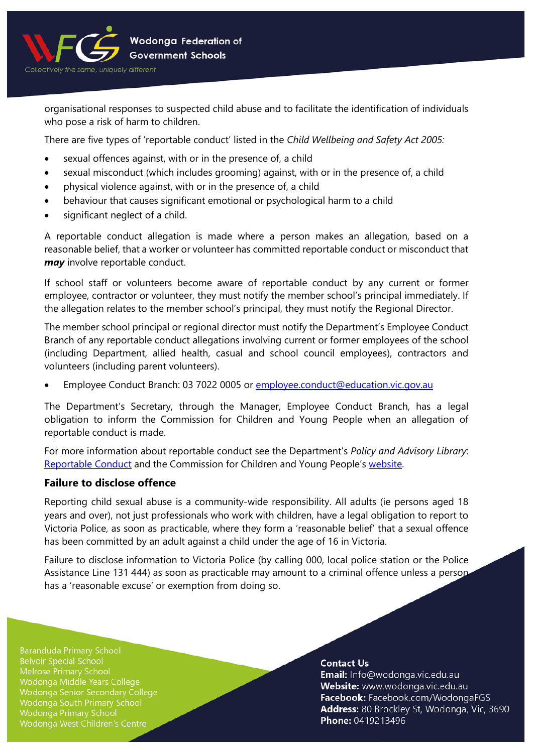

organisational responses to suspected child abuse and to facilitate the identification of individuals who pose a risk of harm to children.

There are five types of 'reportable conduct' listed in the *Child Wellbeing and Safety Act 2005:*

- sexual offences against, with or in the presence of, a child
- sexual misconduct (which includes grooming) against, with or in the presence of, a child
- physical violence against, with or in the presence of, a child
- behaviour that causes significant emotional or psychological harm to a child
- significant neglect of a child.

A reportable conduct allegation is made where a person makes an allegation, based on a reasonable belief, that a worker or volunteer has committed reportable conduct or misconduct that *may* involve reportable conduct.

If school staff or volunteers become aware of reportable conduct by any current or former employee, contractor or volunteer, they must notify the member school's principal immediately. If the allegation relates to the member school's principal, they must notify the Regional Director.

The member school principal or regional director must notify the Department's Employee Conduct Branch of any reportable conduct allegations involving current or former employees of the school (including Department, allied health, casual and school council employees), contractors and volunteers (including parent volunteers).

• Employee Conduct Branch: 03 7022 0005 or [employee.conduct@education.vic.gov.au](mailto:employee.conduct@education.vic.gov.au)

The Department's Secretary, through the Manager, Employee Conduct Branch, has a legal obligation to inform the Commission for Children and Young People when an allegation of reportable conduct is made.

For more information about reportable conduct see the Department's *Policy and Advisory Library*: [Reportable Conduct](https://www2.education.vic.gov.au/pal/reportable-conduct-scheme/policy) and the Commission for Children and Young People's [website.](https://ccyp.vic.gov.au/reportable-conduct-scheme/)

# **Failure to disclose offence**

Reporting child sexual abuse is a community-wide responsibility. All adults (ie persons aged 18 years and over), not just professionals who work with children, have a legal obligation to report to Victoria Police, as soon as practicable, where they form a 'reasonable belief' that a sexual offence has been committed by an adult against a child under the age of 16 in Victoria.

Failure to disclose information to Victoria Police (by calling 000, local police station or the Police Assistance Line 131 444) as soon as practicable may amount to a criminal offence unless a person has a 'reasonable excuse' or exemption from doing so.

**Baranduda Primary School Belvoir Special School** Melrose Primary School Wodonga Middle Years College Wodonga Senior Secondary College Wodonga South Primary School **Wodonga Primary School** Wodonga West Children's Centre

#### **Contact Us**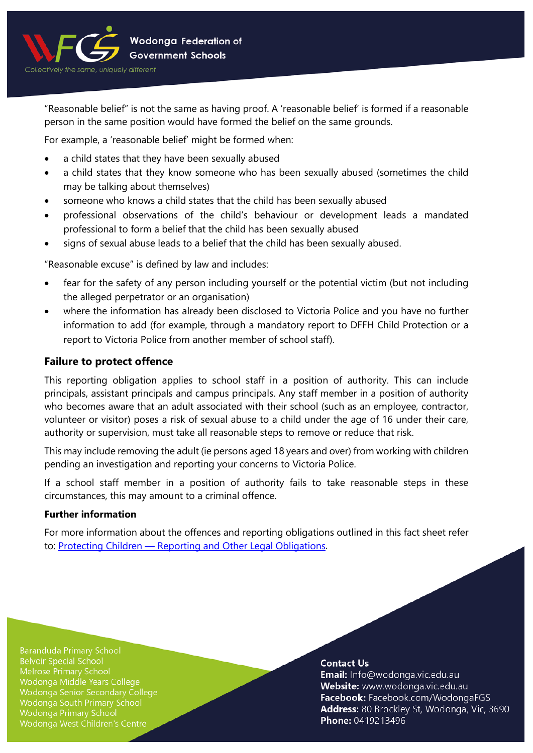

"Reasonable belief" is not the same as having proof. A 'reasonable belief' is formed if a reasonable person in the same position would have formed the belief on the same grounds.

For example, a 'reasonable belief' might be formed when:

- a child states that they have been sexually abused
- a child states that they know someone who has been sexually abused (sometimes the child may be talking about themselves)
- someone who knows a child states that the child has been sexually abused
- professional observations of the child's behaviour or development leads a mandated professional to form a belief that the child has been sexually abused
- signs of sexual abuse leads to a belief that the child has been sexually abused.

"Reasonable excuse" is defined by law and includes:

- fear for the safety of any person including yourself or the potential victim (but not including the alleged perpetrator or an organisation)
- where the information has already been disclosed to Victoria Police and you have no further information to add (for example, through a mandatory report to DFFH Child Protection or a report to Victoria Police from another member of school staff).

#### **Failure to protect offence**

This reporting obligation applies to school staff in a position of authority. This can include principals, assistant principals and campus principals. Any staff member in a position of authority who becomes aware that an adult associated with their school (such as an employee, contractor, volunteer or visitor) poses a risk of sexual abuse to a child under the age of 16 under their care, authority or supervision, must take all reasonable steps to remove or reduce that risk.

This may include removing the adult (ie persons aged 18 years and over) from working with children pending an investigation and reporting your concerns to Victoria Police.

If a school staff member in a position of authority fails to take reasonable steps in these circumstances, this may amount to a criminal offence.

#### **Further information**

For more information about the offences and reporting obligations outlined in this fact sheet refer to: Protecting Children — [Reporting and Other Legal Obligations.](https://www2.education.vic.gov.au/pal/protecting-children/policy)

**Baranduda Primary School Belvoir Special School** Melrose Primary School Wodonga Middle Years College Wodonga Senior Secondary College Wodonga South Primary School Wodonga Primary School Wodonga West Children's Centre

#### **Contact Us**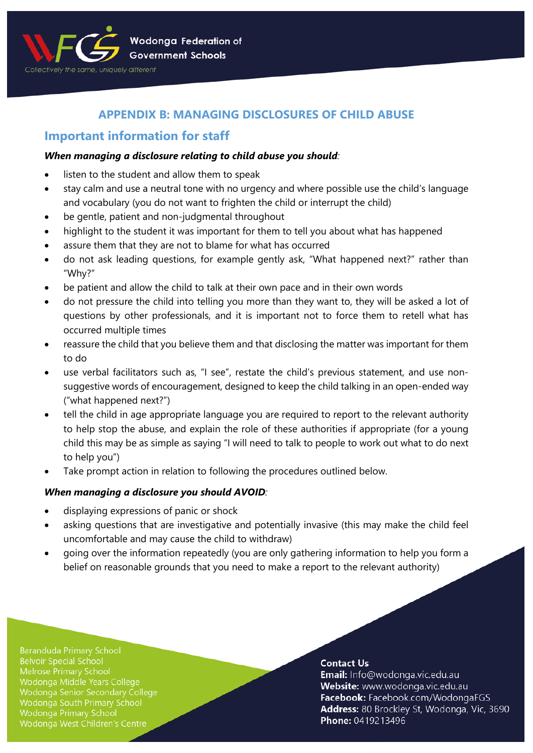

# **APPENDIX B: MANAGING DISCLOSURES OF CHILD ABUSE**

# **Important information for staff**

## *When managing a disclosure relating to child abuse you should:*

- listen to the student and allow them to speak
- stay calm and use a neutral tone with no urgency and where possible use the child's language and vocabulary (you do not want to frighten the child or interrupt the child)
- be gentle, patient and non-judgmental throughout
- highlight to the student it was important for them to tell you about what has happened
- assure them that they are not to blame for what has occurred
- do not ask leading questions, for example gently ask, "What happened next?" rather than "Why?"
- be patient and allow the child to talk at their own pace and in their own words
- do not pressure the child into telling you more than they want to, they will be asked a lot of questions by other professionals, and it is important not to force them to retell what has occurred multiple times
- reassure the child that you believe them and that disclosing the matter was important for them to do
- use verbal facilitators such as, "I see", restate the child's previous statement, and use nonsuggestive words of encouragement, designed to keep the child talking in an open-ended way ("what happened next?")
- tell the child in age appropriate language you are required to report to the relevant authority to help stop the abuse, and explain the role of these authorities if appropriate (for a young child this may be as simple as saying "I will need to talk to people to work out what to do next to help you")
- Take prompt action in relation to following the procedures outlined below.

# *When managing a disclosure you should AVOID:*

- displaying expressions of panic or shock
- asking questions that are investigative and potentially invasive (this may make the child feel uncomfortable and may cause the child to withdraw)
- going over the information repeatedly (you are only gathering information to help you form a belief on reasonable grounds that you need to make a report to the relevant authority)

**Baranduda Primary School Belvoir Special School** Melrose Primary School Wodonga Middle Years College Wodonga Senior Secondary College Wodonga South Primary School Wodonga Primary School Wodonga West Children's Centre

## **Contact Us**